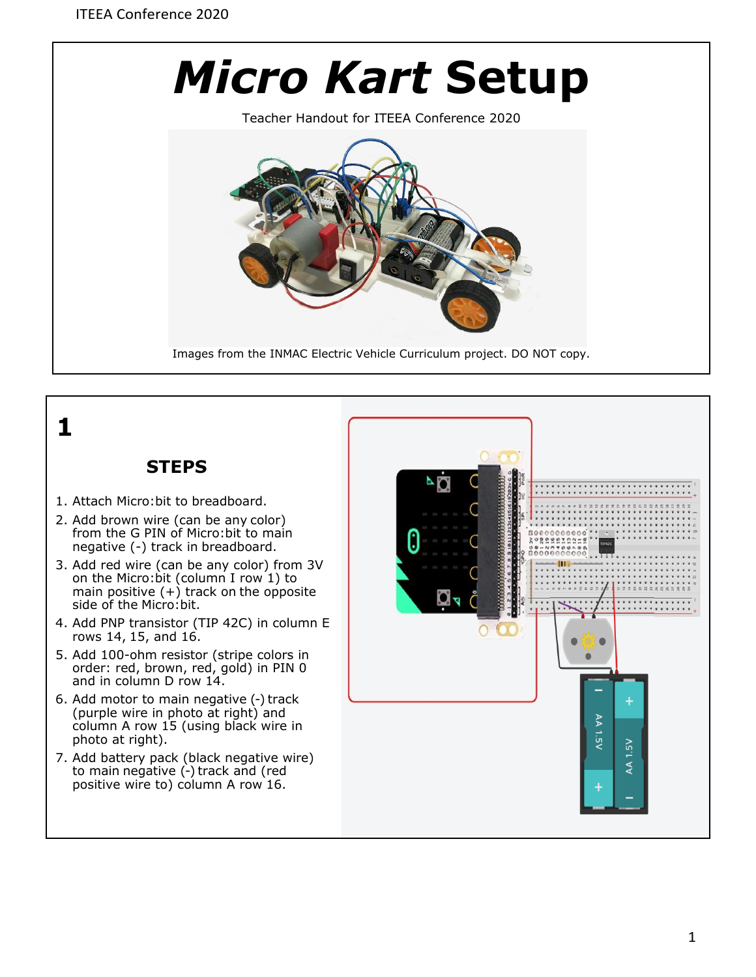

Teacher Handout for ITEEA Conference 2020



Images from the INMAC Electric Vehicle Curriculum project. DO NOT copy.

## **1**

## **STEPS**

- 1. Attach Micro:bit to breadboard.
- 2. Add brown wire (can be any color) from the G PIN of Micro:bit to main negative (-) track in breadboard.
- 3. Add red wire (can be any color) from 3V on the Micro:bit (column I row 1) to main positive (+) track on the opposite side of the Micro:bit.
- 4. Add PNP transistor (TIP 42C) in column E rows 14, 15, and 16.
- 5. Add 100-ohm resistor (stripe colors in order: red, brown, red, gold) in PIN 0 and in column D row 14.
- 6. Add motor to main negative (-) track (purple wire in photo at right) and column A row 15 (using black wire in photo at right).
- 7. Add battery pack (black negative wire) to main negative (-) track and (red positive wire to) column A row 16.